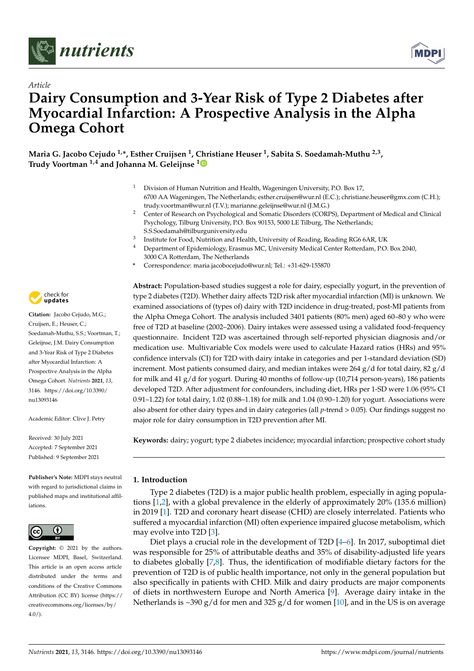



# *Article* **Dairy Consumption and 3-Year Risk of Type 2 Diabetes after Myocardial Infarction: A Prospective Analysis in the Alpha Omega Cohort**

**Maria G. Jacobo Cejudo 1,\*, Esther Cruijsen <sup>1</sup> , [Chr](https://orcid.org/0000-0001-7638-0589)istiane Heuser <sup>1</sup> , Sabita S. Soedamah-Muthu 2,3 , Trudy Voortman 1,4 and Johanna M. Geleijnse <sup>1</sup>**

- <sup>1</sup> Division of Human Nutrition and Health, Wageningen University, P.O. Box 17, 6700 AA Wageningen, The Netherlands; esther.cruijsen@wur.nl (E.C.); christiane.heuser@gmx.com (C.H.); trudy.voortman@wur.nl (T.V.); marianne.geleijnse@wur.nl (J.M.G.)
- <sup>2</sup> Center of Research on Psychological and Somatic Disorders (CORPS), Department of Medical and Clinical Psychology, Tilburg University, P.O. Box 90153, 5000 LE Tilburg, The Netherlands; S.S.Soedamah@tilburguniversity.edu
- <sup>3</sup> Institute for Food, Nutrition and Health, University of Reading, Reading RG6 6AR, UK
- <sup>4</sup> Department of Epidemiology, Erasmus MC, University Medical Center Rotterdam, P.O. Box 2040, 3000 CA Rotterdam, The Netherlands
- **\*** Correspondence: maria.jacobocejudo@wur.nl; Tel.: +31-629-155870

**Abstract:** Population-based studies suggest a role for dairy, especially yogurt, in the prevention of type 2 diabetes (T2D). Whether dairy affects T2D risk after myocardial infarction (MI) is unknown. We examined associations of (types of) dairy with T2D incidence in drug-treated, post-MI patients from the Alpha Omega Cohort. The analysis included 3401 patients (80% men) aged 60–80 y who were free of T2D at baseline (2002–2006). Dairy intakes were assessed using a validated food-frequency questionnaire. Incident T2D was ascertained through self-reported physician diagnosis and/or medication use. Multivariable Cox models were used to calculate Hazard ratios (HRs) and 95% confidence intervals (CI) for T2D with dairy intake in categories and per 1-standard deviation (SD) increment. Most patients consumed dairy, and median intakes were 264  $g/d$  for total dairy, 82  $g/d$ for milk and 41 g/d for yogurt. During 40 months of follow-up (10,714 person-years), 186 patients developed T2D. After adjustment for confounders, including diet, HRs per 1-SD were 1.06 (95% CI 0.91–1.22) for total dairy, 1.02 (0.88–1.18) for milk and 1.04 (0.90–1.20) for yogurt. Associations were also absent for other dairy types and in dairy categories (all *p*-trend > 0.05). Our findings suggest no major role for dairy consumption in T2D prevention after MI.

**Keywords:** dairy; yogurt; type 2 diabetes incidence; myocardial infarction; prospective cohort study

# **1. Introduction**

Type 2 diabetes (T2D) is a major public health problem, especially in aging populations [\[1,](#page-10-0)[2\]](#page-10-1), with a global prevalence in the elderly of approximately 20% (135.6 million) in 2019 [\[1\]](#page-10-0). T2D and coronary heart disease (CHD) are closely interrelated. Patients who suffered a myocardial infarction (MI) often experience impaired glucose metabolism, which may evolve into T2D [\[3\]](#page-10-2).

Diet plays a crucial role in the development of T2D [\[4](#page-10-3)[–6\]](#page-10-4). In 2017, suboptimal diet was responsible for 25% of attributable deaths and 35% of disability-adjusted life years to diabetes globally [\[7,](#page-11-0)[8\]](#page-11-1). Thus, the identification of modifiable dietary factors for the prevention of T2D is of public health importance, not only in the general population but also specifically in patients with CHD. Milk and dairy products are major components of diets in northwestern Europe and North America [\[9\]](#page-11-2). Average dairy intake in the Netherlands is ~390 g/d for men and 325 g/d for women [\[10\]](#page-11-3), and in the US is on average



**Citation:** Jacobo Cejudo, M.G.; Cruijsen, E.; Heuser, C.; Soedamah-Muthu, S.S.; Voortman, T.; Geleijnse, J.M. Dairy Consumption and 3-Year Risk of Type 2 Diabetes after Myocardial Infarction: A Prospective Analysis in the Alpha Omega Cohort. *Nutrients* **2021**, *13*, 3146. [https://doi.org/10.3390/](https://doi.org/10.3390/nu13093146) [nu13093146](https://doi.org/10.3390/nu13093146)

Academic Editor: Clive J. Petry

Received: 30 July 2021 Accepted: 7 September 2021 Published: 9 September 2021

**Publisher's Note:** MDPI stays neutral with regard to jurisdictional claims in published maps and institutional affiliations.



**Copyright:** © 2021 by the authors. Licensee MDPI, Basel, Switzerland. This article is an open access article distributed under the terms and conditions of the Creative Commons Attribution (CC BY) license (https:/[/](https://creativecommons.org/licenses/by/4.0/) [creativecommons.org/licenses/by/](https://creativecommons.org/licenses/by/4.0/)  $4.0/$ ).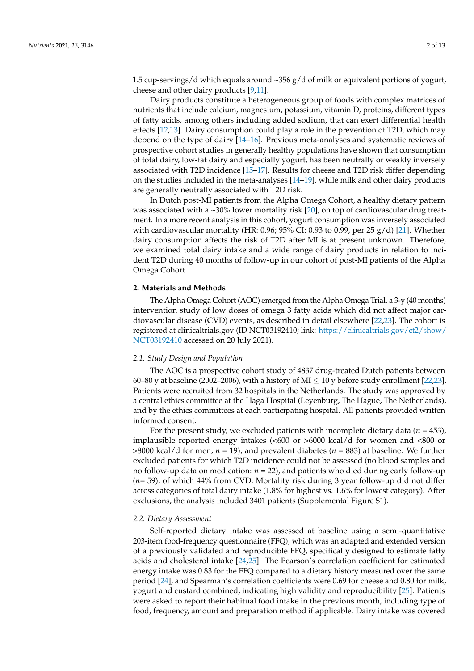1.5 cup-servings/d which equals around  $\sim$ 356 g/d of milk or equivalent portions of yogurt, cheese and other dairy products [\[9](#page-11-2)[,11\]](#page-11-4).

Dairy products constitute a heterogeneous group of foods with complex matrices of nutrients that include calcium, magnesium, potassium, vitamin D, proteins, different types of fatty acids, among others including added sodium, that can exert differential health effects [\[12,](#page-11-5)[13\]](#page-11-6). Dairy consumption could play a role in the prevention of T2D, which may depend on the type of dairy [\[14](#page-11-7)[–16\]](#page-11-8). Previous meta-analyses and systematic reviews of prospective cohort studies in generally healthy populations have shown that consumption of total dairy, low-fat dairy and especially yogurt, has been neutrally or weakly inversely associated with T2D incidence [\[15](#page-11-9)[–17\]](#page-11-10). Results for cheese and T2D risk differ depending on the studies included in the meta-analyses [\[14](#page-11-7)[–19\]](#page-11-11), while milk and other dairy products are generally neutrally associated with T2D risk.

In Dutch post-MI patients from the Alpha Omega Cohort, a healthy dietary pattern was associated with a ~30% lower mortality risk [\[20\]](#page-11-12), on top of cardiovascular drug treatment. In a more recent analysis in this cohort, yogurt consumption was inversely associated with cardiovascular mortality (HR: 0.96; 95% CI: 0.93 to 0.99, per 25 g/d) [\[21\]](#page-11-13). Whether dairy consumption affects the risk of T2D after MI is at present unknown. Therefore, we examined total dairy intake and a wide range of dairy products in relation to incident T2D during 40 months of follow-up in our cohort of post-MI patients of the Alpha Omega Cohort.

#### **2. Materials and Methods**

The Alpha Omega Cohort (AOC) emerged from the Alpha Omega Trial, a 3-y (40 months) intervention study of low doses of omega 3 fatty acids which did not affect major cardiovascular disease (CVD) events, as described in detail elsewhere [\[22](#page-11-14)[,23\]](#page-11-15). The cohort is registered at clinicaltrials.gov (ID NCT03192410; link: [https://clinicaltrials.gov/ct2/show/](https://clinicaltrials.gov/ct2/show/NCT03192410) [NCT03192410](https://clinicaltrials.gov/ct2/show/NCT03192410) accessed on 20 July 2021).

## *2.1. Study Design and Population*

The AOC is a prospective cohort study of 4837 drug-treated Dutch patients between 60–80 y at baseline (2002–2006), with a history of MI  $\leq$  10 y before study enrollment [\[22](#page-11-14)[,23\]](#page-11-15). Patients were recruited from 32 hospitals in the Netherlands. The study was approved by a central ethics committee at the Haga Hospital (Leyenburg, The Hague, The Netherlands), and by the ethics committees at each participating hospital. All patients provided written informed consent.

For the present study, we excluded patients with incomplete dietary data ( $n = 453$ ), implausible reported energy intakes (<600 or >6000 kcal/d for women and <800 or >8000 kcal/d for men, *n* = 19), and prevalent diabetes (*n* = 883) at baseline. We further excluded patients for which T2D incidence could not be assessed (no blood samples and no follow-up data on medication: *n* = 22), and patients who died during early follow-up (*n*= 59), of which 44% from CVD. Mortality risk during 3 year follow-up did not differ across categories of total dairy intake (1.8% for highest vs. 1.6% for lowest category). After exclusions, the analysis included 3401 patients (Supplemental Figure S1).

## *2.2. Dietary Assessment*

Self-reported dietary intake was assessed at baseline using a semi-quantitative 203-item food-frequency questionnaire (FFQ), which was an adapted and extended version of a previously validated and reproducible FFQ, specifically designed to estimate fatty acids and cholesterol intake [\[24,](#page-11-16)[25\]](#page-11-17). The Pearson's correlation coefficient for estimated energy intake was 0.83 for the FFQ compared to a dietary history measured over the same period [\[24\]](#page-11-16), and Spearman's correlation coefficients were 0.69 for cheese and 0.80 for milk, yogurt and custard combined, indicating high validity and reproducibility [\[25\]](#page-11-17). Patients were asked to report their habitual food intake in the previous month, including type of food, frequency, amount and preparation method if applicable. Dairy intake was covered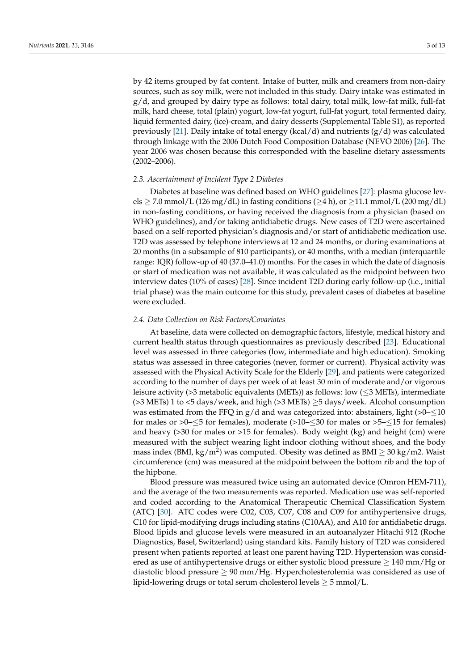by 42 items grouped by fat content. Intake of butter, milk and creamers from non-dairy sources, such as soy milk, were not included in this study. Dairy intake was estimated in  $g/d$ , and grouped by dairy type as follows: total dairy, total milk, low-fat milk, full-fat milk, hard cheese, total (plain) yogurt, low-fat yogurt, full-fat yogurt, total fermented dairy, liquid fermented dairy, (ice)-cream, and dairy desserts (Supplemental Table S1), as reported previously [\[21\]](#page-11-13). Daily intake of total energy (kcal/d) and nutrients  $(g/d)$  was calculated through linkage with the 2006 Dutch Food Composition Database (NEVO 2006) [\[26\]](#page-11-18). The year 2006 was chosen because this corresponded with the baseline dietary assessments (2002–2006).

# *2.3. Ascertainment of Incident Type 2 Diabetes*

Diabetes at baseline was defined based on WHO guidelines [\[27\]](#page-11-19): plasma glucose levels  $\geq$  7.0 mmol/L (126 mg/dL) in fasting conditions ( $\geq$ 4 h), or  $\geq$ 11.1 mmol/L (200 mg/dL) in non-fasting conditions, or having received the diagnosis from a physician (based on WHO guidelines), and/or taking antidiabetic drugs. New cases of T2D were ascertained based on a self-reported physician's diagnosis and/or start of antidiabetic medication use. T2D was assessed by telephone interviews at 12 and 24 months, or during examinations at 20 months (in a subsample of 810 participants), or 40 months, with a median (interquartile range: IQR) follow-up of 40 (37.0–41.0) months. For the cases in which the date of diagnosis or start of medication was not available, it was calculated as the midpoint between two interview dates (10% of cases) [\[28\]](#page-11-20). Since incident T2D during early follow-up (i.e., initial trial phase) was the main outcome for this study, prevalent cases of diabetes at baseline were excluded.

# *2.4. Data Collection on Risk Factors/Covariates*

At baseline, data were collected on demographic factors, lifestyle, medical history and current health status through questionnaires as previously described [\[23\]](#page-11-15). Educational level was assessed in three categories (low, intermediate and high education). Smoking status was assessed in three categories (never, former or current). Physical activity was assessed with the Physical Activity Scale for the Elderly [\[29\]](#page-11-21), and patients were categorized according to the number of days per week of at least 30 min of moderate and/or vigorous leisure activity (>3 metabolic equivalents (METs)) as follows: low ( $\leq$ 3 METs), intermediate ( $>3$  METs) 1 to  $<5$  days/week, and high ( $>3$  METs)  $\geq$  5 days/week. Alcohol consumption was estimated from the FFQ in  $g/d$  and was categorized into: abstainers, light (>0– $\leq$ 10 for males or  $>0$ – $\leq$ 5 for females), moderate ( $>10$ – $\leq$ 30 for males or  $>5$ – $\leq$ 15 for females) and heavy  $(>30$  for males or  $>15$  for females). Body weight  $(kg)$  and height  $(cm)$  were measured with the subject wearing light indoor clothing without shoes, and the body mass index (BMI, kg/m<sup>2</sup>) was computed. Obesity was defined as BMI  $\geq$  30 kg/m2. Waist circumference (cm) was measured at the midpoint between the bottom rib and the top of the hipbone.

Blood pressure was measured twice using an automated device (Omron HEM-711), and the average of the two measurements was reported. Medication use was self-reported and coded according to the Anatomical Therapeutic Chemical Classification System (ATC) [\[30\]](#page-11-22). ATC codes were C02, C03, C07, C08 and C09 for antihypertensive drugs, C10 for lipid-modifying drugs including statins (C10AA), and A10 for antidiabetic drugs. Blood lipids and glucose levels were measured in an autoanalyzer Hitachi 912 (Roche Diagnostics, Basel, Switzerland) using standard kits. Family history of T2D was considered present when patients reported at least one parent having T2D. Hypertension was considered as use of antihypertensive drugs or either systolic blood pressure  $\geq 140$  mm/Hg or diastolic blood pressure  $\geq 90$  mm/Hg. Hypercholesterolemia was considered as use of lipid-lowering drugs or total serum cholesterol levels  $\geq$  5 mmol/L.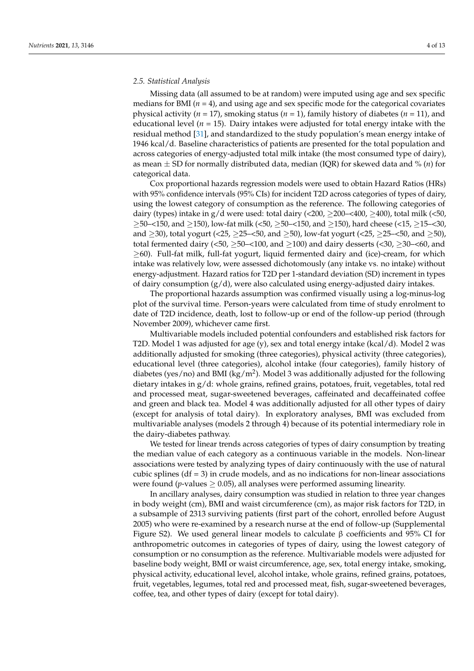## *2.5. Statistical Analysis*

Missing data (all assumed to be at random) were imputed using age and sex specific medians for BMI ( $n = 4$ ), and using age and sex specific mode for the categorical covariates physical activity (*n* = 17), smoking status (*n* = 1), family history of diabetes (*n* = 11), and educational level  $(n = 15)$ . Dairy intakes were adjusted for total energy intake with the residual method [\[31\]](#page-11-23), and standardized to the study population's mean energy intake of 1946 kcal/d. Baseline characteristics of patients are presented for the total population and across categories of energy-adjusted total milk intake (the most consumed type of dairy), as mean ± SD for normally distributed data, median (IQR) for skewed data and % (*n*) for categorical data.

Cox proportional hazards regression models were used to obtain Hazard Ratios (HRs) with 95% confidence intervals (95% CIs) for incident T2D across categories of types of dairy, using the lowest category of consumption as the reference. The following categories of dairy (types) intake in  $g/d$  were used: total dairy (<200, >200–<400, >400), total milk (<50,  $≥$ 50–<150, and  $≥$ 150), low-fat milk (<50,  $≥$ 50–<150, and  $≥$ 150), hard cheese (<15,  $≥$ 15–<30, and  $\geq$ 30), total yogurt (<25,  $\geq$ 25– $\lt$ 50, and  $\geq$ 50), low-fat yogurt (<25,  $\geq$ 25– $\lt$ 50, and  $\geq$ 50), total fermented dairy (<50,  $\geq$ 50–<100, and  $\geq$ 100) and dairy desserts (<30,  $\geq$ 30–<60, and  $\geq$ 60). Full-fat milk, full-fat yogurt, liquid fermented dairy and (ice)-cream, for which intake was relatively low, were assessed dichotomously (any intake vs. no intake) without energy-adjustment. Hazard ratios for T2D per 1-standard deviation (SD) increment in types of dairy consumption  $(g/d)$ , were also calculated using energy-adjusted dairy intakes.

The proportional hazards assumption was confirmed visually using a log-minus-log plot of the survival time. Person-years were calculated from time of study enrolment to date of T2D incidence, death, lost to follow-up or end of the follow-up period (through November 2009), whichever came first.

Multivariable models included potential confounders and established risk factors for T2D. Model 1 was adjusted for age (y), sex and total energy intake (kcal/d). Model 2 was additionally adjusted for smoking (three categories), physical activity (three categories), educational level (three categories), alcohol intake (four categories), family history of diabetes (yes/no) and BMI (kg/m<sup>2</sup>). Model 3 was additionally adjusted for the following dietary intakes in g/d: whole grains, refined grains, potatoes, fruit, vegetables, total red and processed meat, sugar-sweetened beverages, caffeinated and decaffeinated coffee and green and black tea. Model 4 was additionally adjusted for all other types of dairy (except for analysis of total dairy). In exploratory analyses, BMI was excluded from multivariable analyses (models 2 through 4) because of its potential intermediary role in the dairy-diabetes pathway.

We tested for linear trends across categories of types of dairy consumption by treating the median value of each category as a continuous variable in the models. Non-linear associations were tested by analyzing types of dairy continuously with the use of natural cubic splines ( $df = 3$ ) in crude models, and as no indications for non-linear associations were found ( $p$ -values  $> 0.05$ ), all analyses were performed assuming linearity.

In ancillary analyses, dairy consumption was studied in relation to three year changes in body weight (cm), BMI and waist circumference (cm), as major risk factors for T2D, in a subsample of 2313 surviving patients (first part of the cohort, enrolled before August 2005) who were re-examined by a research nurse at the end of follow-up (Supplemental Figure S2). We used general linear models to calculate β coefficients and 95% CI for anthropometric outcomes in categories of types of dairy, using the lowest category of consumption or no consumption as the reference. Multivariable models were adjusted for baseline body weight, BMI or waist circumference, age, sex, total energy intake, smoking, physical activity, educational level, alcohol intake, whole grains, refined grains, potatoes, fruit, vegetables, legumes, total red and processed meat, fish, sugar-sweetened beverages, coffee, tea, and other types of dairy (except for total dairy).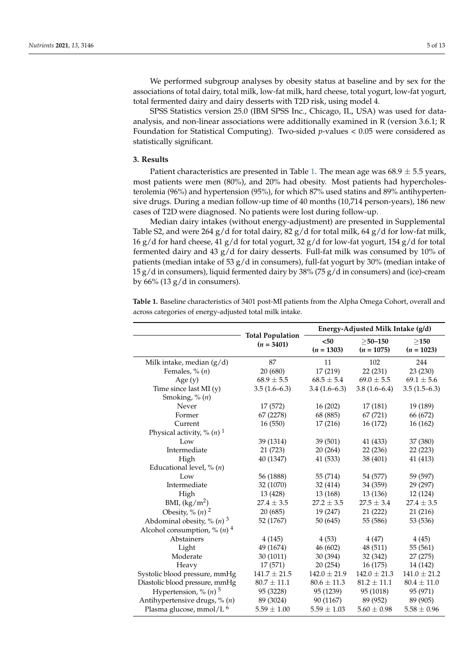We performed subgroup analyses by obesity status at baseline and by sex for the associations of total dairy, total milk, low-fat milk, hard cheese, total yogurt, low-fat yogurt, total fermented dairy and dairy desserts with T2D risk, using model 4.

SPSS Statistics version 25.0 (IBM SPSS Inc., Chicago, IL, USA) was used for dataanalysis, and non-linear associations were additionally examined in R (version 3.6.1; R Foundation for Statistical Computing). Two-sided *p*-values < 0.05 were considered as statistically significant.

# **3. Results**

Patient characteristics are presented in Table [1.](#page-5-0) The mean age was  $68.9 \pm 5.5$  years, most patients were men (80%), and 20% had obesity. Most patients had hypercholesterolemia (96%) and hypertension (95%), for which 87% used statins and 89% antihypertensive drugs. During a median follow-up time of 40 months (10,714 person-years), 186 new cases of T2D were diagnosed. No patients were lost during follow-up.

Median dairy intakes (without energy-adjustment) are presented in Supplemental Table S2, and were 264 g/d for total dairy, 82 g/d for total milk, 64 g/d for low-fat milk, 16 g/d for hard cheese, 41 g/d for total yogurt, 32 g/d for low-fat yogurt, 154 g/d for total fermented dairy and 43  $g/d$  for dairy desserts. Full-fat milk was consumed by 10% of patients (median intake of 53 g/d in consumers), full-fat yogurt by 30% (median intake of 15 g/d in consumers), liquid fermented dairy by 38% (75 g/d in consumers) and (ice)-cream by 66% (13  $g/d$  in consumers).

**Table 1.** Baseline characteristics of 3401 post-MI patients from the Alpha Omega Cohort, overall and across categories of energy-adjusted total milk intake.

|                                           |                                         | Energy-Adjusted Milk Intake (g/d) |                               |                      |  |
|-------------------------------------------|-----------------------------------------|-----------------------------------|-------------------------------|----------------------|--|
|                                           | <b>Total Population</b><br>$(n = 3401)$ | $50$<br>$(n = 1303)$              | $\geq$ 50–150<br>$(n = 1075)$ | >150<br>$(n = 1023)$ |  |
| Milk intake, median $(g/d)$               | 87                                      | 11                                | 102                           | 244                  |  |
| Females, % $(n)$                          | 20 (680)                                | 17 (219)                          | 22(231)                       | 23 (230)             |  |
| Age $(y)$                                 | $68.9 \pm 5.5$                          | $68.5 \pm 5.4$                    | $69.0 \pm 5.5$                | $69.1 \pm 5.6$       |  |
| Time since last $MI(y)$                   | $3.5(1.6-6.3)$                          | $3.4(1.6-6.3)$                    | $3.8(1.6-6.4)$                | $3.5(1.5-6.3)$       |  |
| Smoking, % (n)                            |                                         |                                   |                               |                      |  |
| Never                                     | 17 (572)                                | 16 (202)                          | 17 (181)                      | 19 (189)             |  |
| Former                                    | 67 (2278)                               | 68 (885)                          | 67 (721)                      | 66 (672)             |  |
| Current                                   | 16(550)                                 | 17 (216)                          | 16 (172)                      | 16 (162)             |  |
| Physical activity, % $(n)$ <sup>1</sup>   |                                         |                                   |                               |                      |  |
| Low                                       | 39 (1314)                               | 39 (501)                          | 41 (433)                      | 37 (380)             |  |
| Intermediate                              | 21 (723)                                | 20 (264)                          | 22(236)                       | 22 (223)             |  |
| High                                      | 40 (1347)                               | 41 (533)                          | 38 (401)                      | 41 (413)             |  |
| Educational level, $\%$ ( <i>n</i> )      |                                         |                                   |                               |                      |  |
| Low                                       | 56 (1888)                               | 55 (714)                          | 54 (577)                      | 59 (597)             |  |
| Intermediate                              | 32 (1070)                               | 32 (414)                          | 34 (359)                      | 29 (297)             |  |
| High                                      | 13 (428)                                | 13 (168)                          | 13 (136)                      | 12 (124)             |  |
| BMI, $\frac{\text{kg}}{\text{m}^2}$       | $27.4 \pm 3.5$                          | $27.2 \pm 3.5$                    | $27.5 \pm 3.4$                | $27.4 \pm 3.5$       |  |
| Obesity, % $(n)$ <sup>2</sup>             | 20 (685)                                | 19 (247)                          | 21(222)                       | 21 (216)             |  |
| Abdominal obesity, % $(n)$ 3              | 52 (1767)                               | 50(645)                           | 55 (586)                      | 53 (536)             |  |
| Alcohol consumption, % $(n)$ <sup>4</sup> |                                         |                                   |                               |                      |  |
| Abstainers                                | 4(145)                                  | 4(53)                             | 4(47)                         | 4(45)                |  |
| Light                                     | 49 (1674)                               | 46 (602)                          | 48 (511)                      | 55 (561)             |  |
| Moderate                                  | 30 (1011)                               | 30 (394)                          | 32 (342)                      | 27 (275)             |  |
| Heavy                                     | 17 (571)                                | 20(254)                           | 16(175)                       | 14 (142)             |  |
| Systolic blood pressure, mmHg             | $141.7 \pm 21.5$                        | $142.0 \pm 21.9$                  | $142.0 \pm 21.3$              | $141.0 \pm 21.2$     |  |
| Diastolic blood pressure, mmHg            | $80.7 \pm 11.1$                         | $80.6 \pm 11.3$                   | $81.2 \pm 11.1$               | $80.4 \pm 11.0$      |  |
| Hypertension, % $(n)$ <sup>5</sup>        | 95 (3228)                               | 95 (1239)                         | 95 (1018)                     | 95 (971)             |  |
| Antihypertensive drugs, % (n)             | 89 (3024)                               | 90 (1167)                         | 89 (952)                      | 89 (905)             |  |
| Plasma glucose, mmol/L <sup>6</sup>       | $5.59\pm1.00$                           | $5.59 \pm 1.03$                   | $5.60 \pm 0.98$               | $5.58 \pm 0.96$      |  |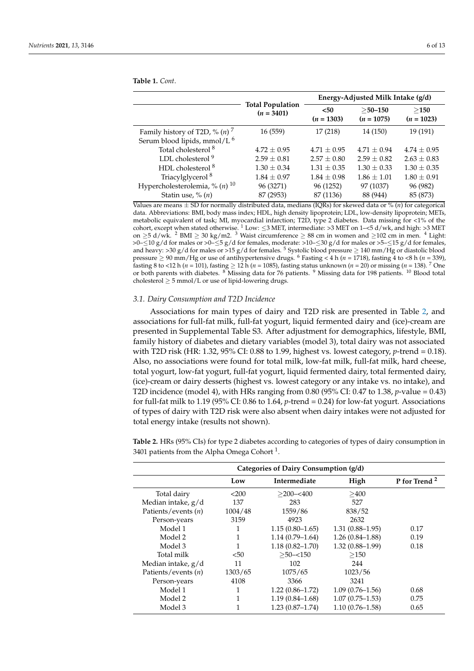|                                              |                                         | Energy-Adjusted Milk Intake (g/d) |                            |                      |  |
|----------------------------------------------|-----------------------------------------|-----------------------------------|----------------------------|----------------------|--|
|                                              | <b>Total Population</b><br>$(n = 3401)$ | $50$<br>$(n = 1303)$              | $>$ 50-150<br>$(n = 1075)$ | >150<br>$(n = 1023)$ |  |
| Family history of T2D, % $(n)$ <sup>7</sup>  | 16 (559)                                | 17 (218)                          | 14 (150)                   | 19 (191)             |  |
| Serum blood lipids, mmol/L <sup>6</sup>      |                                         |                                   |                            |                      |  |
| Total cholesterol <sup>8</sup>               | $4.72 \pm 0.95$                         | $4.71 \pm 0.95$                   | $4.71 \pm 0.94$            | $4.74 \pm 0.95$      |  |
| LDL cholesterol <sup>9</sup>                 | $2.59 \pm 0.81$                         | $2.57 \pm 0.80$                   | $2.59 \pm 0.82$            | $2.63 \pm 0.83$      |  |
| HDL cholesterol <sup>8</sup>                 | $1.30 \pm 0.34$                         | $1.31 \pm 0.35$                   | $1.30 \pm 0.33$            | $1.30 \pm 0.35$      |  |
| Triacylglycerol <sup>8</sup>                 | $1.84 \pm 0.97$                         | $1.84 \pm 0.98$                   | $1.86 \pm 1.01$            | $1.80 \pm 0.91$      |  |
| Hypercholesterolemia, % ( <i>n</i> ) $^{10}$ | 96 (3271)                               | 96 (1252)                         | 97 (1037)                  | 96 (982)             |  |
| Statin use, $\%$ $(n)$                       | 87 (2953)                               | 87 (1136)                         | 88 (944)                   | 85 (873)             |  |

<span id="page-5-0"></span>**Table 1.** *Cont*.

Values are means ± SD for normally distributed data, medians (IQRs) for skewed data or % (*n*) for categorical data. Abbreviations: BMI, body mass index; HDL, high density lipoprotein; LDL, low-density lipoprotein; METs, metabolic equivalent of task; MI, myocardial infarction; T2D, type 2 diabetes. Data missing for <1% of the cohort, except when stated otherwise.  $1^1$  Low:  $\leq$ 3 MET, intermediate: >3 MET on 1-<5 d/wk, and high: >3 MET on  $\geq$ 5 d/wk. <sup>2</sup> BMI  $\geq$  30 kg/m2. <sup>3</sup> Waist circumference  $\geq$  88 cm in women and  $\geq$ 102 cm in men. <sup>4</sup> Light: >0–≤10 g/d for males or >0–≤5 g/d for females, moderate: >10–≤30 g/d for males or >5–≤15 g/d for females, and heavy: >30 g/d for males or >15 g/d for females.<sup>5</sup> Systolic blood pressure  $\geq$  140 mm/Hg or diastolic blood pressure ≥ 90 mm/Hg or use of antihypertensive drugs. <sup>6</sup> Fasting < 4 h (*n* = 1718), fasting 4 to <8 h (*n* = 339), fasting 8 to <12 h (*n* = 101), fasting ≥ 12 h (*n* = 1085), fasting status unknown (*n* = 20) or missing (*n* = 138). <sup>7</sup> One or both parents with diabetes. <sup>8</sup> Missing data for 76 patients. <sup>9</sup> Missing data for 198 patients. <sup>10</sup> Blood total cholesterol  $\geq$  5 mmol/L or use of lipid-lowering drugs.

## *3.1. Dairy Consumption and T2D Incidence*

Associations for main types of dairy and T2D risk are presented in Table [2,](#page-6-0) and associations for full-fat milk, full-fat yogurt, liquid fermented dairy and (ice)-cream are presented in Supplemental Table S3. After adjustment for demographics, lifestyle, BMI, family history of diabetes and dietary variables (model 3), total dairy was not associated with T2D risk (HR: 1.32, 95% CI: 0.88 to 1.99, highest vs. lowest category, *p*-trend = 0.18). Also, no associations were found for total milk, low-fat milk, full-fat milk, hard cheese, total yogurt, low-fat yogurt, full-fat yogurt, liquid fermented dairy, total fermented dairy, (ice)-cream or dairy desserts (highest vs. lowest category or any intake vs. no intake), and T2D incidence (model 4), with HRs ranging from 0.80 (95% CI: 0.47 to 1.38, *p*-value = 0.43) for full-fat milk to 1.19 (95% CI: 0.86 to 1.64, *p*-trend = 0.24) for low-fat yogurt. Associations of types of dairy with T2D risk were also absent when dairy intakes were not adjusted for total energy intake (results not shown).

**Table 2.** HRs (95% CIs) for type 2 diabetes according to categories of types of dairy consumption in 3401 patients from the Alpha Omega Cohort<sup>1</sup>.

| Categories of Dairy Consumption (g/d) |         |                     |                     |                          |
|---------------------------------------|---------|---------------------|---------------------|--------------------------|
|                                       | Low     | Intermediate        | High                | P for Trend <sup>2</sup> |
| Total dairy                           | < 200   | $>$ 200- $<$ 400    | >400                |                          |
| Median intake, g/d                    | 137     | 283                 | 527                 |                          |
| Patients/events $(n)$                 | 1004/48 | 1559/86             | 838/52              |                          |
| Person-years                          | 3159    | 4923                | 2632                |                          |
| Model 1                               |         | $1.15(0.80-1.65)$   | $1.31(0.88 - 1.95)$ | 0.17                     |
| Model 2                               |         | $1.14(0.79-1.64)$   | $1.26(0.84 - 1.88)$ | 0.19                     |
| Model 3                               |         | $1.18(0.82 - 1.70)$ | $1.32(0.88 - 1.99)$ | 0.18                     |
| Total milk                            | $50$    | $>50 - 150$         | >150                |                          |
| Median intake, $g/d$                  | 11      | 102                 | 244                 |                          |
| Patients/events $(n)$                 | 1303/65 | 1075/65             | 1023/56             |                          |
| Person-years                          | 4108    | 3366                | 3241                |                          |
| Model 1                               |         | $1.22(0.86 - 1.72)$ | $1.09(0.76 - 1.56)$ | 0.68                     |
| Model 2                               | 1       | $1.19(0.84 - 1.68)$ | $1.07(0.75 - 1.53)$ | 0.75                     |
| Model 3                               |         | $1.23(0.87 - 1.74)$ | $1.10(0.76 - 1.58)$ | 0.65                     |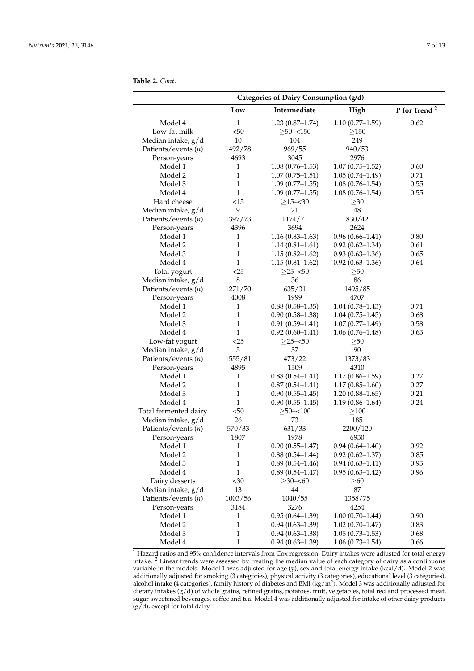<span id="page-6-0"></span>**Table 2.** *Cont*.

|                       | Categories of Dairy Consumption (g/d) |                     |                     |                          |  |
|-----------------------|---------------------------------------|---------------------|---------------------|--------------------------|--|
|                       | Low                                   | Intermediate        | High                | P for Trend <sup>2</sup> |  |
| Model 4               | $\mathbf{1}$                          | $1.23(0.87-1.74)$   | $1.10(0.77-1.59)$   | 0.62                     |  |
| Low-fat milk          | $50$                                  | $>50 - 150$         | $\geq$ 150          |                          |  |
| Median intake, g/d    | 10                                    | 104                 | 249                 |                          |  |
| Patients/events (n)   | 1492/78                               | 969/55              | 940/53              |                          |  |
| Person-years          | 4693                                  | 3045                | 2976                |                          |  |
| Model 1               | 1                                     | $1.08(0.76 - 1.53)$ | $1.07(0.75 - 1.52)$ | 0.60                     |  |
| Model 2               | 1                                     | $1.07(0.75 - 1.51)$ | $1.05(0.74 - 1.49)$ | 0.71                     |  |
| Model 3               | 1                                     | $1.09(0.77-1.55)$   | $1.08(0.76-1.54)$   | 0.55                     |  |
| Model 4               | $\mathbf{1}$                          | $1.09(0.77-1.55)$   | $1.08(0.76 - 1.54)$ | 0.55                     |  |
| Hard cheese           | <15                                   | $\geq$ 15-<30       | >30                 |                          |  |
| Median intake, g/d    | 9                                     | 21                  | 48                  |                          |  |
| Patients/events (n)   | 1397/73                               | 1174/71             | 830/42              |                          |  |
| Person-years          | 4396                                  | 3694                | 2624                |                          |  |
| Model 1               | 1                                     | $1.16(0.83 - 1.63)$ | $0.96(0.66 - 1.41)$ | 0.80                     |  |
| Model 2               | $\mathbf{1}$                          | $1.14(0.81 - 1.61)$ | $0.92(0.62 - 1.34)$ | 0.61                     |  |
| Model 3               | $\mathbf{1}$                          | $1.15(0.82 - 1.62)$ | $0.93(0.63 - 1.36)$ | 0.65                     |  |
| Model 4               | $\mathbf{1}$                          | $1.15(0.81 - 1.62)$ | $0.92(0.63 - 1.36)$ | 0.64                     |  |
| Total yogurt          | $<$ 25                                | $>25 - 50$          | >50                 |                          |  |
| Median intake, g/d    | 8                                     | 36                  | 86                  |                          |  |
| Patients/events (n)   | 1271/70                               | 635/31              | 1495/85             |                          |  |
| Person-years          | 4008                                  | 1999                | 4707                |                          |  |
| Model 1               | $\mathbf{1}$                          | $0.88(0.58-1.35)$   | $1.04(0.78 - 1.43)$ | 0.71                     |  |
| Model 2               | $\mathbf{1}$                          | $0.90(0.58-1.38)$   | $1.04(0.75 - 1.45)$ | 0.68                     |  |
| Model 3               | $\mathbf{1}$                          | $0.91(0.59 - 1.41)$ | $1.07(0.77 - 1.49)$ | 0.58                     |  |
| Model 4               | $\mathbf{1}$                          | $0.92(0.60-1.41)$   | $1.06(0.76-1.48)$   | 0.63                     |  |
| Low-fat yogurt        | $<$ 25                                | $\geq$ 25-<50       | >50                 |                          |  |
| Median intake, g/d    | 5                                     | 37                  | 90                  |                          |  |
| Patients/events $(n)$ | 1555/81                               | 473/22              | 1373/83             |                          |  |
| Person-years          | 4895                                  | 1509                | 4310                |                          |  |
| Model 1               | 1                                     | $0.88(0.54 - 1.41)$ | $1.17(0.86 - 1.59)$ | 0.27                     |  |
| Model 2               | 1                                     | $0.87(0.54 - 1.41)$ | $1.17(0.85-1.60)$   | 0.27                     |  |
| Model 3               | $\mathbf{1}$                          | $0.90(0.55-1.45)$   | $1.20(0.88-1.65)$   | 0.21                     |  |
| Model 4               | $\mathbf{1}$                          | $0.90(0.55-1.45)$   | $1.19(0.86 - 1.64)$ | 0.24                     |  |
| Total fermented dairy | $50$                                  | $\geq$ 50-<100      | $\geq100$           |                          |  |
| Median intake, g/d    | 26                                    | 73                  | 185                 |                          |  |
| Patients/events (n)   | 570/33                                | 631/33              | 2200/120            |                          |  |
| Person-years          | 1807                                  | 1978                | 6930                |                          |  |
| Model 1               | $\,1\,$                               | $0.90(0.55 - 1.47)$ | $0.94(0.64 - 1.40)$ | 0.92                     |  |
| Model 2               | $\mathbf{1}$                          | $0.88(0.54 - 1.44)$ | $0.92(0.62 - 1.37)$ | 0.85                     |  |
| Model 3               | $\,1\,$                               | $0.89(0.54 - 1.46)$ | $0.94(0.63 - 1.41)$ | 0.95                     |  |
| Model 4               | $\mathbf{1}$                          | $0.89(0.54 - 1.47)$ | $0.95(0.63 - 1.42)$ | 0.96                     |  |
| Dairy desserts        | $30$                                  | $\geq$ 30-<60       | $\geq 60$           |                          |  |
| Median intake, g/d    | 13                                    | 44                  | $87\,$              |                          |  |
| Patients/events (n)   | 1003/56                               | 1040/55             | 1358/75             |                          |  |
| Person-years          | 3184                                  | 3276                | 4254                |                          |  |
| Model 1               | $\mathbf{1}$                          | $0.95(0.64-1.39)$   | $1.00(0.70-1.44)$   | 0.90                     |  |
| Model 2               | 1                                     | $0.94(0.63 - 1.39)$ | $1.02(0.70 - 1.47)$ | 0.83                     |  |
| Model 3               | 1                                     | $0.94(0.63 - 1.38)$ | $1.05(0.73 - 1.53)$ | 0.68                     |  |
| Model 4               | $\mathbf{1}$                          | $0.94(0.63 - 1.39)$ | $1.06(0.73 - 1.54)$ | 0.66                     |  |

<sup>1</sup> Hazard ratios and 95% confidence intervals from Cox regression. Dairy intakes were adjusted for total energy intake. <sup>2</sup> Linear trends were assessed by treating the median value of each category of dairy as a continuous variable in the models. Model 1 was adjusted for age (y), sex and total energy intake (kcal/d). Model 2 was additionally adjusted for smoking (3 categories), physical activity (3 categories), educational level (3 categories), alcohol intake (4 categories), family history of diabetes and BMI (kg/m<sup>2</sup>). Model 3 was additionally adjusted for dietary intakes (g/d) of whole grains, refined grains, potatoes, fruit, vegetables, total red and processed meat, sugar-sweetened beverages, coffee and tea. Model 4 was additionally adjusted for intake of other dairy products  $(g/d)$ , except for total dairy.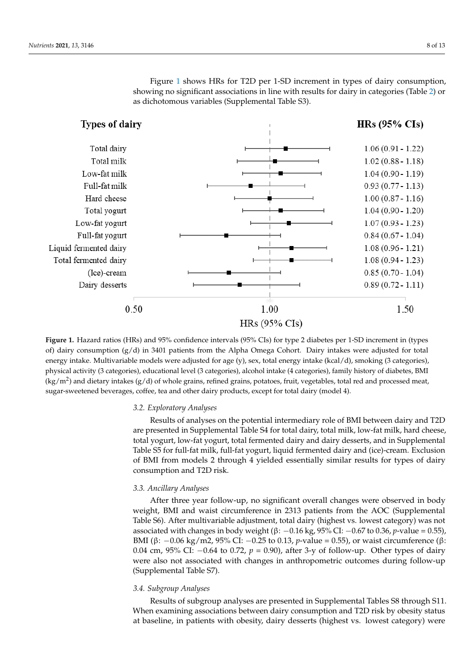Figure [1](#page-7-0) shows HRs for T2D per 1-SD increment in types of dairy consumption, Figure 1 shows HRs for T2D per 1-SD increment in types of dairy consumption, showing no significant associations in line with results for dairy in categories (Table [2\)](#page-6-0) or showing no significant associations in line with results for dairy in categories (Table 2) or as dichotomous variables (Supplemental Table S3). as dichotomous variables (Supplemental Table S3).

<span id="page-7-0"></span>

**Figure 1.** Hazard ratios (HRs) and 95% confidence intervals (95% CIs) for type 2 diabetes per 1-SD increment in (types of) dairy consumption (g/d) in 3401 patients from the Alpha Omega Cohort. Dairy intakes were adjusted for total energy intake. Multivariable models were adjusted for age (y), sex, total energy intake (kcal/d), smoking (3 categories), physical activity (3 categories), educational level (3 categories), alcohol intake (4 categories), family history of diabetes, BMI (kg/m<sup>2</sup>) and dietary intakes (g/d) of whole grains, refined grains, potatoes, fruit, vegetables, total red and processed meat, sweetened beverages, coffee, tea and other dairy products, except for total dairy (model 4). sugar-sweetened beverages, coffee, tea and other dairy products, except for total dairy (model 4).

# *3.2. Exploratory Analyses 3.2. Exploratory Analyses*

Results of analyses on the potential intermediary role of BMI between dairy and T2D Results of analyses on the potential intermediary role of BMI between dairy and T2D are presented in Supplemental Table S4 for total dairy, total milk, low-fat milk, hard are presented in Supplemental Table S4 for total dairy, total milk, low-fat milk, hard cheese, total yogurt, low-fat yogurt, total fermented dairy and dairy desserts, and in Supplemental Table S5 for full-fat milk, full-fat yogurt, liquid fermented dairy and (ice)-cream. Exclusion of BMI from models 2 through 4 yielded essentially similar results for types of dairy consumption and T2D risk.

# *3.3. Ancillary Analyses 3.3. Ancillary Analyses*

After three year follow-up, no significant overall changes were observed in body weight, BMI and waist circumference in 2313 patients from the AOC (Supplemental weight, BMI and waist circumference in 2313 patients from the AOC (Supplemental Table Table S6). After multivariable adjustment, total dairy (highest vs. lowest category) was not S6). After multivariable adjustment, total dairy (highest vs. lowest category) was not as-associated with changes in body weight (β: −0.16 kg, 95% CI: −0.67 to 0.36, *p*-value = 0.55), sociated with changes in body weight (β: −0.16 kg, 95% CI: −0.67 to 0.36, *p*-value = 0.55), BMI (β: −0.06 kg/m2, 95% CI: −0.25 to 0.13, *p*-value = 0.55), or waist circumference (β: 0.04 cm, 95% CI: −0.64 to 0.72,  $p = 0.90$ ), after 3-y of follow-up. Other types of dairy comparison of the original the original three process in anthropometric outcomes during follow-up. were also not associated with changes in anthropometric outcomes during follow-up<br>(Supplemental Table S7) (Supplemental Table S7). After three year follow-up, no significant overall changes were observed in body

# *3.4. Subgroup Analyses*

Results of subgroup analyses are presented in Supplemental Tables S8 through S11. When examining associations between dairy consumption and T2D risk by obesity status at baseline, in patients with obesity, dairy desserts (highest vs. lowest category) were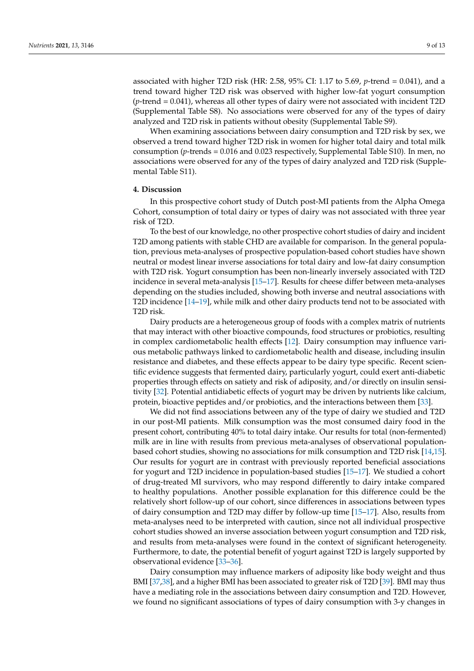associated with higher T2D risk (HR: 2.58, 95% CI: 1.17 to 5.69, *p*-trend = 0.041), and a trend toward higher T2D risk was observed with higher low-fat yogurt consumption (*p*-trend = 0.041), whereas all other types of dairy were not associated with incident T2D (Supplemental Table S8). No associations were observed for any of the types of dairy analyzed and T2D risk in patients without obesity (Supplemental Table S9).

When examining associations between dairy consumption and T2D risk by sex, we observed a trend toward higher T2D risk in women for higher total dairy and total milk consumption (*p*-trends = 0.016 and 0.023 respectively, Supplemental Table S10). In men, no associations were observed for any of the types of dairy analyzed and T2D risk (Supplemental Table S11).

#### **4. Discussion**

In this prospective cohort study of Dutch post-MI patients from the Alpha Omega Cohort, consumption of total dairy or types of dairy was not associated with three year risk of T2D.

To the best of our knowledge, no other prospective cohort studies of dairy and incident T2D among patients with stable CHD are available for comparison. In the general population, previous meta-analyses of prospective population-based cohort studies have shown neutral or modest linear inverse associations for total dairy and low-fat dairy consumption with T2D risk. Yogurt consumption has been non-linearly inversely associated with T2D incidence in several meta-analysis [\[15–](#page-11-9)[17\]](#page-11-10). Results for cheese differ between meta-analyses depending on the studies included, showing both inverse and neutral associations with T2D incidence [\[14](#page-11-7)[–19\]](#page-11-11), while milk and other dairy products tend not to be associated with T2D risk.

Dairy products are a heterogeneous group of foods with a complex matrix of nutrients that may interact with other bioactive compounds, food structures or probiotics, resulting in complex cardiometabolic health effects [\[12\]](#page-11-5). Dairy consumption may influence various metabolic pathways linked to cardiometabolic health and disease, including insulin resistance and diabetes, and these effects appear to be dairy type specific. Recent scientific evidence suggests that fermented dairy, particularly yogurt, could exert anti-diabetic properties through effects on satiety and risk of adiposity, and/or directly on insulin sensitivity [\[32\]](#page-11-24). Potential antidiabetic effects of yogurt may be driven by nutrients like calcium, protein, bioactive peptides and/or probiotics, and the interactions between them [\[33\]](#page-12-0).

We did not find associations between any of the type of dairy we studied and T2D in our post-MI patients. Milk consumption was the most consumed dairy food in the present cohort, contributing 40% to total dairy intake. Our results for total (non-fermented) milk are in line with results from previous meta-analyses of observational populationbased cohort studies, showing no associations for milk consumption and T2D risk [\[14](#page-11-7)[,15\]](#page-11-9). Our results for yogurt are in contrast with previously reported beneficial associations for yogurt and T2D incidence in population-based studies [\[15–](#page-11-9)[17\]](#page-11-10). We studied a cohort of drug-treated MI survivors, who may respond differently to dairy intake compared to healthy populations. Another possible explanation for this difference could be the relatively short follow-up of our cohort, since differences in associations between types of dairy consumption and T2D may differ by follow-up time [\[15](#page-11-9)[–17\]](#page-11-10). Also, results from meta-analyses need to be interpreted with caution, since not all individual prospective cohort studies showed an inverse association between yogurt consumption and T2D risk, and results from meta-analyses were found in the context of significant heterogeneity. Furthermore, to date, the potential benefit of yogurt against T2D is largely supported by observational evidence [\[33](#page-12-0)[–36\]](#page-12-1).

Dairy consumption may influence markers of adiposity like body weight and thus BMI [\[37,](#page-12-2)[38\]](#page-12-3), and a higher BMI has been associated to greater risk of T2D [\[39\]](#page-12-4). BMI may thus have a mediating role in the associations between dairy consumption and T2D. However, we found no significant associations of types of dairy consumption with 3-y changes in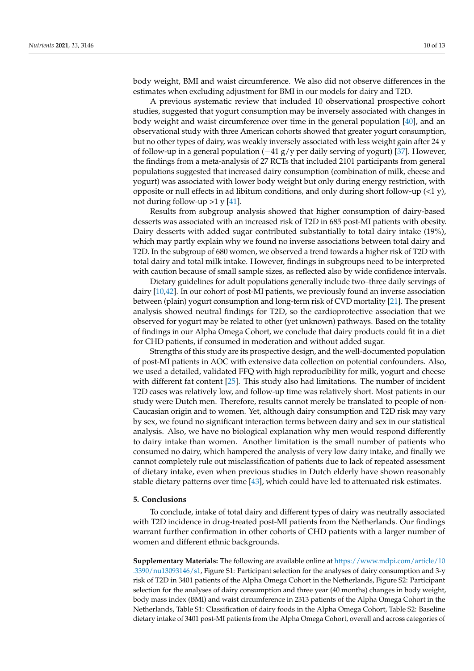body weight, BMI and waist circumference. We also did not observe differences in the estimates when excluding adjustment for BMI in our models for dairy and T2D.

A previous systematic review that included 10 observational prospective cohort studies, suggested that yogurt consumption may be inversely associated with changes in body weight and waist circumference over time in the general population [\[40\]](#page-12-5), and an observational study with three American cohorts showed that greater yogurt consumption, but no other types of dairy, was weakly inversely associated with less weight gain after 24 y of follow-up in a general population (−41 g/y per daily serving of yogurt) [\[37\]](#page-12-2). However, the findings from a meta-analysis of 27 RCTs that included 2101 participants from general populations suggested that increased dairy consumption (combination of milk, cheese and yogurt) was associated with lower body weight but only during energy restriction, with opposite or null effects in ad libitum conditions, and only during short follow-up  $(21 \text{ y})$ , not during follow-up  $>1$  y [\[41\]](#page-12-6).

Results from subgroup analysis showed that higher consumption of dairy-based desserts was associated with an increased risk of T2D in 685 post-MI patients with obesity. Dairy desserts with added sugar contributed substantially to total dairy intake (19%), which may partly explain why we found no inverse associations between total dairy and T2D. In the subgroup of 680 women, we observed a trend towards a higher risk of T2D with total dairy and total milk intake. However, findings in subgroups need to be interpreted with caution because of small sample sizes, as reflected also by wide confidence intervals.

Dietary guidelines for adult populations generally include two–three daily servings of dairy [\[10](#page-11-3)[,42\]](#page-12-7). In our cohort of post-MI patients, we previously found an inverse association between (plain) yogurt consumption and long-term risk of CVD mortality [\[21\]](#page-11-13). The present analysis showed neutral findings for T2D, so the cardioprotective association that we observed for yogurt may be related to other (yet unknown) pathways. Based on the totality of findings in our Alpha Omega Cohort, we conclude that dairy products could fit in a diet for CHD patients, if consumed in moderation and without added sugar.

Strengths of this study are its prospective design, and the well-documented population of post-MI patients in AOC with extensive data collection on potential confounders. Also, we used a detailed, validated FFQ with high reproducibility for milk, yogurt and cheese with different fat content [\[25\]](#page-11-17). This study also had limitations. The number of incident T2D cases was relatively low, and follow-up time was relatively short. Most patients in our study were Dutch men. Therefore, results cannot merely be translated to people of non-Caucasian origin and to women. Yet, although dairy consumption and T2D risk may vary by sex, we found no significant interaction terms between dairy and sex in our statistical analysis. Also, we have no biological explanation why men would respond differently to dairy intake than women. Another limitation is the small number of patients who consumed no dairy, which hampered the analysis of very low dairy intake, and finally we cannot completely rule out misclassification of patients due to lack of repeated assessment of dietary intake, even when previous studies in Dutch elderly have shown reasonably stable dietary patterns over time [\[43\]](#page-12-8), which could have led to attenuated risk estimates.

#### **5. Conclusions**

To conclude, intake of total dairy and different types of dairy was neutrally associated with T2D incidence in drug-treated post-MI patients from the Netherlands. Our findings warrant further confirmation in other cohorts of CHD patients with a larger number of women and different ethnic backgrounds.

**Supplementary Materials:** The following are available online at [https://www.mdpi.com/article/10](https://www.mdpi.com/article/10.3390/nu13093146/s1) [.3390/nu13093146/s1,](https://www.mdpi.com/article/10.3390/nu13093146/s1) Figure S1: Participant selection for the analyses of dairy consumption and 3-y risk of T2D in 3401 patients of the Alpha Omega Cohort in the Netherlands, Figure S2: Participant selection for the analyses of dairy consumption and three year (40 months) changes in body weight, body mass index (BMI) and waist circumference in 2313 patients of the Alpha Omega Cohort in the Netherlands, Table S1: Classification of dairy foods in the Alpha Omega Cohort, Table S2: Baseline dietary intake of 3401 post-MI patients from the Alpha Omega Cohort, overall and across categories of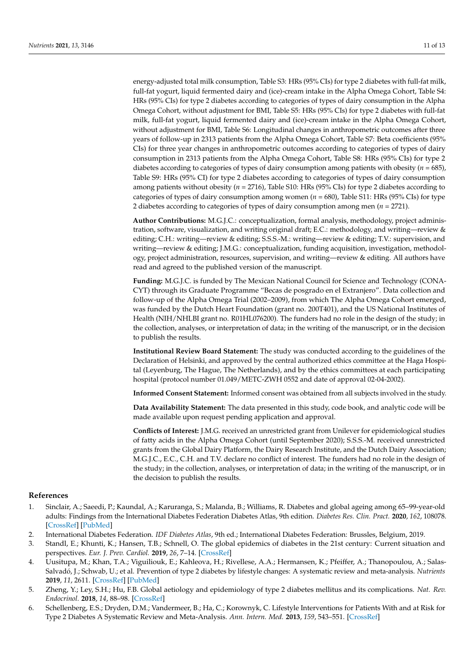energy-adjusted total milk consumption, Table S3: HRs (95% CIs) for type 2 diabetes with full-fat milk, full-fat yogurt, liquid fermented dairy and (ice)-cream intake in the Alpha Omega Cohort, Table S4: HRs (95% CIs) for type 2 diabetes according to categories of types of dairy consumption in the Alpha Omega Cohort, without adjustment for BMI, Table S5: HRs (95% CIs) for type 2 diabetes with full-fat milk, full-fat yogurt, liquid fermented dairy and (ice)-cream intake in the Alpha Omega Cohort, without adjustment for BMI, Table S6: Longitudinal changes in anthropometric outcomes after three years of follow-up in 2313 patients from the Alpha Omega Cohort, Table S7: Beta coefficients (95% CIs) for three year changes in anthropometric outcomes according to categories of types of dairy consumption in 2313 patients from the Alpha Omega Cohort, Table S8: HRs (95% CIs) for type 2 diabetes according to categories of types of dairy consumption among patients with obesity (*n* = 685), Table S9: HRs (95% CI) for type 2 diabetes according to categories of types of dairy consumption among patients without obesity (*n* = 2716), Table S10: HRs (95% CIs) for type 2 diabetes according to categories of types of dairy consumption among women (*n* = 680), Table S11: HRs (95% CIs) for type 2 diabetes according to categories of types of dairy consumption among men (*n* = 2721).

**Author Contributions:** M.G.J.C.: conceptualization, formal analysis, methodology, project administration, software, visualization, and writing original draft; E.C.: methodology, and writing—review & editing; C.H.: writing—review & editing; S.S.S.-M.: writing—review & editing; T.V.: supervision, and writing—review & editing; J.M.G.: conceptualization, funding acquisition, investigation, methodology, project administration, resources, supervision, and writing—review & editing. All authors have read and agreed to the published version of the manuscript.

**Funding:** M.G.J.C. is funded by The Mexican National Council for Science and Technology (CONA-CYT) through its Graduate Programme "Becas de posgrado en el Extranjero". Data collection and follow-up of the Alpha Omega Trial (2002–2009), from which The Alpha Omega Cohort emerged, was funded by the Dutch Heart Foundation (grant no. 200T401), and the US National Institutes of Health (NIH/NHLBI grant no. R01HL076200). The funders had no role in the design of the study; in the collection, analyses, or interpretation of data; in the writing of the manuscript, or in the decision to publish the results.

**Institutional Review Board Statement:** The study was conducted according to the guidelines of the Declaration of Helsinki, and approved by the central authorized ethics committee at the Haga Hospital (Leyenburg, The Hague, The Netherlands), and by the ethics committees at each participating hospital (protocol number 01.049/METC-ZWH 0552 and date of approval 02-04-2002).

**Informed Consent Statement:** Informed consent was obtained from all subjects involved in the study.

**Data Availability Statement:** The data presented in this study, code book, and analytic code will be made available upon request pending application and approval.

**Conflicts of Interest:** J.M.G. received an unrestricted grant from Unilever for epidemiological studies of fatty acids in the Alpha Omega Cohort (until September 2020); S.S.S.-M. received unrestricted grants from the Global Dairy Platform, the Dairy Research Institute, and the Dutch Dairy Association; M.G.J.C., E.C., C.H. and T.V. declare no conflict of interest. The funders had no role in the design of the study; in the collection, analyses, or interpretation of data; in the writing of the manuscript, or in the decision to publish the results.

## **References**

- <span id="page-10-0"></span>1. Sinclair, A.; Saeedi, P.; Kaundal, A.; Karuranga, S.; Malanda, B.; Williams, R. Diabetes and global ageing among 65–99-year-old adults: Findings from the International Diabetes Federation Diabetes Atlas, 9th edition. *Diabetes Res. Clin. Pract.* **2020**, *162*, 108078. [\[CrossRef\]](http://doi.org/10.1016/j.diabres.2020.108078) [\[PubMed\]](http://www.ncbi.nlm.nih.gov/pubmed/32068097)
- <span id="page-10-1"></span>2. International Diabetes Federation. *IDF Diabetes Atlas*, 9th ed.; International Diabetes Federation: Brussles, Belgium, 2019.
- <span id="page-10-2"></span>3. Standl, E.; Khunti, K.; Hansen, T.B.; Schnell, O. The global epidemics of diabetes in the 21st century: Current situation and perspectives. *Eur. J. Prev. Cardiol.* **2019**, *26*, 7–14. [\[CrossRef\]](http://doi.org/10.1177/2047487319881021)
- <span id="page-10-3"></span>4. Uusitupa, M.; Khan, T.A.; Viguiliouk, E.; Kahleova, H.; Rivellese, A.A.; Hermansen, K.; Pfeiffer, A.; Thanopoulou, A.; Salas-Salvadó, J.; Schwab, U.; et al. Prevention of type 2 diabetes by lifestyle changes: A systematic review and meta-analysis. *Nutrients* **2019**, *11*, 2611. [\[CrossRef\]](http://doi.org/10.3390/nu11112611) [\[PubMed\]](http://www.ncbi.nlm.nih.gov/pubmed/31683759)
- 5. Zheng, Y.; Ley, S.H.; Hu, F.B. Global aetiology and epidemiology of type 2 diabetes mellitus and its complications. *Nat. Rev. Endocrinol.* **2018**, *14*, 88–98. [\[CrossRef\]](http://doi.org/10.1038/nrendo.2017.151)
- <span id="page-10-4"></span>6. Schellenberg, E.S.; Dryden, D.M.; Vandermeer, B.; Ha, C.; Korownyk, C. Lifestyle Interventions for Patients With and at Risk for Type 2 Diabetes A Systematic Review and Meta-Analysis. *Ann. Intern. Med.* **2013**, *159*, 543–551. [\[CrossRef\]](http://doi.org/10.7326/0003-4819-159-8-201310150-00007)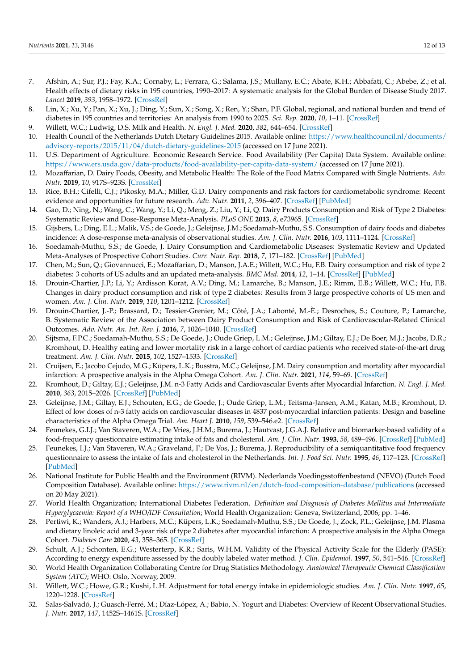- <span id="page-11-0"></span>7. Afshin, A.; Sur, P.J.; Fay, K.A.; Cornaby, L.; Ferrara, G.; Salama, J.S.; Mullany, E.C.; Abate, K.H.; Abbafati, C.; Abebe, Z.; et al. Health effects of dietary risks in 195 countries, 1990–2017: A systematic analysis for the Global Burden of Disease Study 2017. *Lancet* **2019**, *393*, 1958–1972. [\[CrossRef\]](http://doi.org/10.1016/S0140-6736(19)30041-8)
- <span id="page-11-1"></span>8. Lin, X.; Xu, Y.; Pan, X.; Xu, J.; Ding, Y.; Sun, X.; Song, X.; Ren, Y.; Shan, P.F. Global, regional, and national burden and trend of diabetes in 195 countries and territories: An analysis from 1990 to 2025. *Sci. Rep.* **2020**, *10*, 1–11. [\[CrossRef\]](http://doi.org/10.1038/s41598-020-71908-9)
- <span id="page-11-2"></span>9. Willett, W.C.; Ludwig, D.S. Milk and Health. *N. Engl. J. Med.* **2020**, *382*, 644–654. [\[CrossRef\]](http://doi.org/10.1056/NEJMra1903547)
- <span id="page-11-3"></span>10. Health Council of the Netherlands Dutch Dietary Guidelines 2015. Available online: [https://www.healthcouncil.nl/documents/](https://www.healthcouncil.nl/documents/advisory-reports/2015/11/04/dutch-dietary-guidelines-2015) [advisory-reports/2015/11/04/dutch-dietary-guidelines-2015](https://www.healthcouncil.nl/documents/advisory-reports/2015/11/04/dutch-dietary-guidelines-2015) (accessed on 17 June 2021).
- <span id="page-11-4"></span>11. U.S. Department of Agriculture. Economic Research Service. Food Availability (Per Capita) Data System. Available online: <https://www.ers.usda.gov/data-products/food-availability-per-capita-data-system/> (accessed on 17 June 2021).
- <span id="page-11-5"></span>12. Mozaffarian, D. Dairy Foods, Obesity, and Metabolic Health: The Role of the Food Matrix Compared with Single Nutrients. *Adv. Nutr.* **2019**, *10*, 917S–923S. [\[CrossRef\]](http://doi.org/10.1093/advances/nmz053)
- <span id="page-11-6"></span>13. Rice, B.H.; Cifelli, C.J.; Pikosky, M.A.; Miller, G.D. Dairy components and risk factors for cardiometabolic syndrome: Recent evidence and opportunities for future research. *Adv. Nutr.* **2011**, *2*, 396–407. [\[CrossRef\]](http://doi.org/10.3945/an.111.000646) [\[PubMed\]](http://www.ncbi.nlm.nih.gov/pubmed/22332081)
- <span id="page-11-7"></span>14. Gao, D.; Ning, N.; Wang, C.; Wang, Y.; Li, Q.; Meng, Z.; Liu, Y.; Li, Q. Dairy Products Consumption and Risk of Type 2 Diabetes: Systematic Review and Dose-Response Meta-Analysis. *PLoS ONE* **2013**, *8*, e73965. [\[CrossRef\]](http://doi.org/10.1371/journal.pone.0073965)
- <span id="page-11-9"></span>15. Gijsbers, L.; Ding, E.L.; Malik, V.S.; de Goede, J.; Geleijnse, J.M.; Soedamah-Muthu, S.S. Consumption of dairy foods and diabetes incidence: A dose-response meta-analysis of observational studies. *Am. J. Clin. Nutr.* **2016**, *103*, 1111–1124. [\[CrossRef\]](http://doi.org/10.3945/ajcn.115.123216)
- <span id="page-11-8"></span>16. Soedamah-Muthu, S.S.; de Goede, J. Dairy Consumption and Cardiometabolic Diseases: Systematic Review and Updated Meta-Analyses of Prospective Cohort Studies. *Curr. Nutr. Rep.* **2018**, *7*, 171–182. [\[CrossRef\]](http://doi.org/10.1007/s13668-018-0253-y) [\[PubMed\]](http://www.ncbi.nlm.nih.gov/pubmed/30406514)
- <span id="page-11-10"></span>17. Chen, M.; Sun, Q.; Giovannucci, E.; Mozaffarian, D.; Manson, J.A.E.; Willett, W.C.; Hu, F.B. Dairy consumption and risk of type 2 diabetes: 3 cohorts of US adults and an updated meta-analysis. *BMC Med.* **2014**, *12*, 1–14. [\[CrossRef\]](http://doi.org/10.1186/s12916-014-0215-1) [\[PubMed\]](http://www.ncbi.nlm.nih.gov/pubmed/25420418)
- 18. Drouin-Chartier, J.P.; Li, Y.; Ardisson Korat, A.V.; Ding, M.; Lamarche, B.; Manson, J.E.; Rimm, E.B.; Willett, W.C.; Hu, F.B. Changes in dairy product consumption and risk of type 2 diabetes: Results from 3 large prospective cohorts of US men and women. *Am. J. Clin. Nutr.* **2019**, *110*, 1201–1212. [\[CrossRef\]](http://doi.org/10.1093/ajcn/nqz180)
- <span id="page-11-11"></span>19. Drouin-Chartier, J.-P.; Brassard, D.; Tessier-Grenier, M.; Côté, J.A.; Labonté, M.-È.; Desroches, S.; Couture, P.; Lamarche, B. Systematic Review of the Association between Dairy Product Consumption and Risk of Cardiovascular-Related Clinical Outcomes. *Adv. Nutr. An. Int. Rev. J.* **2016**, *7*, 1026–1040. [\[CrossRef\]](http://doi.org/10.3945/an.115.011403)
- <span id="page-11-12"></span>20. Sijtsma, F.P.C.; Soedamah-Muthu, S.S.; De Goede, J.; Oude Griep, L.M.; Geleijnse, J.M.; Giltay, E.J.; De Boer, M.J.; Jacobs, D.R.; Kromhout, D. Healthy eating and lower mortality risk in a large cohort of cardiac patients who received state-of-the-art drug treatment. *Am. J. Clin. Nutr.* **2015**, *102*, 1527–1533. [\[CrossRef\]](http://doi.org/10.3945/ajcn.115.112276)
- <span id="page-11-13"></span>21. Cruijsen, E.; Jacobo Cejudo, M.G.; Küpers, L.K.; Busstra, M.C.; Geleijnse, J.M. Dairy consumption and mortality after myocardial infarction: A prospective analysis in the Alpha Omega Cohort. *Am. J. Clin. Nutr.* **2021**, *114*, 59–69. [\[CrossRef\]](http://doi.org/10.1093/ajcn/nqab026)
- <span id="page-11-14"></span>22. Kromhout, D.; Giltay, E.J.; Geleijnse, J.M. n-3 Fatty Acids and Cardiovascular Events after Myocardial Infarction. *N. Engl. J. Med.* **2010**, *363*, 2015–2026. [\[CrossRef\]](http://doi.org/10.1056/NEJMoa1003603) [\[PubMed\]](http://www.ncbi.nlm.nih.gov/pubmed/20929341)
- <span id="page-11-15"></span>23. Geleijnse, J.M.; Giltay, E.J.; Schouten, E.G.; de Goede, J.; Oude Griep, L.M.; Teitsma-Jansen, A.M.; Katan, M.B.; Kromhout, D. Effect of low doses of n-3 fatty acids on cardiovascular diseases in 4837 post-myocardial infarction patients: Design and baseline characteristics of the Alpha Omega Trial. *Am. Heart J.* **2010**, *159*, 539–546.e2. [\[CrossRef\]](http://doi.org/10.1016/j.ahj.2009.12.033)
- <span id="page-11-16"></span>24. Feunekes, G.I.J.; Van Staveren, W.A.; De Vries, J.H.M.; Burema, J.; Hautvast, J.G.A.J. Relative and biomarker-based validity of a food-frequency questionnaire estimating intake of fats and cholesterol. *Am. J. Clin. Nutr.* **1993**, *58*, 489–496. [\[CrossRef\]](http://doi.org/10.1093/ajcn/58.4.489) [\[PubMed\]](http://www.ncbi.nlm.nih.gov/pubmed/8379504)
- <span id="page-11-17"></span>25. Feunekes, I.J.; Van Staveren, W.A.; Graveland, F.; De Vos, J.; Burema, J. Reproducibility of a semiquantitative food frequency questionnaire to assess the intake of fats and cholesterol in the Netherlands. *Int. J. Food Sci. Nutr.* **1995**, *46*, 117–123. [\[CrossRef\]](http://doi.org/10.3109/09637489509012539) [\[PubMed\]](http://www.ncbi.nlm.nih.gov/pubmed/7621083)
- <span id="page-11-18"></span>26. National Institute for Public Health and the Environment (RIVM). Nederlands Voedingsstoffenbestand (NEVO) (Dutch Food Composition Database). Available online: <https://www.rivm.nl/en/dutch-food-composition-database/publications> (accessed on 20 May 2021).
- <span id="page-11-19"></span>27. World Health Organization; International Diabetes Federation. *Definition and Diagnosis of Diabetes Mellitus and Intermediate Hyperglycaemia: Report of a WHO/IDF Consultation*; World Health Organization: Geneva, Switzerland, 2006; pp. 1–46.
- <span id="page-11-20"></span>28. Pertiwi, K.; Wanders, A.J.; Harbers, M.C.; Küpers, L.K.; Soedamah-Muthu, S.S.; De Goede, J.; Zock, P.L.; Geleijnse, J.M. Plasma and dietary linoleic acid and 3-year risk of type 2 diabetes after myocardial infarction: A prospective analysis in the Alpha Omega Cohort. *Diabetes Care* **2020**, *43*, 358–365. [\[CrossRef\]](http://doi.org/10.2337/dc19-1483)
- <span id="page-11-21"></span>29. Schult, A.J.; Schonten, E.G.; Westerterp, K.R.; Saris, W.H.M. Validity of the Physical Activity Scale for the Elderly (PASE): According to energy expenditure assessed by the doubly labeled water method. *J. Clin. Epidemiol.* **1997**, *50*, 541–546. [\[CrossRef\]](http://doi.org/10.1016/S0895-4356(97)00010-3)
- <span id="page-11-22"></span>30. World Health Organization Collaborating Centre for Drug Statistics Methodology. *Anatomical Therapeutic Chemical Classification System (ATC)*; WHO: Oslo, Norway, 2009.
- <span id="page-11-23"></span>31. Willett, W.C.; Howe, G.R.; Kushi, L.H. Adjustment for total energy intake in epidemiologic studies. *Am. J. Clin. Nutr.* **1997**, *65*, 1220–1228. [\[CrossRef\]](http://doi.org/10.1093/ajcn/65.4.1220S)
- <span id="page-11-24"></span>32. Salas-Salvadó, J.; Guasch-Ferré, M.; Díaz-López, A.; Babio, N. Yogurt and Diabetes: Overview of Recent Observational Studies. *J. Nutr.* **2017**, *147*, 1452S–1461S. [\[CrossRef\]](http://doi.org/10.3945/jn.117.248229)